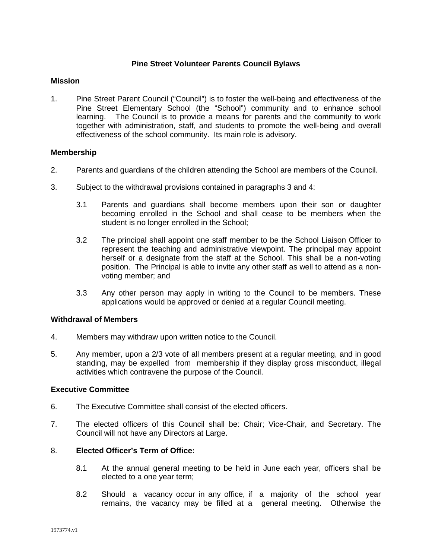# **Pine Street Volunteer Parents Council Bylaws**

# **Mission**

1. Pine Street Parent Council ("Council") is to foster the well-being and effectiveness of the Pine Street Elementary School (the "School") community and to enhance school learning. The Council is to provide a means for parents and the community to work together with administration, staff, and students to promote the well-being and overall effectiveness of the school community. Its main role is advisory.

#### **Membership**

- 2. Parents and guardians of the children attending the School are members of the Council.
- 3. Subject to the withdrawal provisions contained in paragraphs 3 and 4:
	- 3.1 Parents and guardians shall become members upon their son or daughter becoming enrolled in the School and shall cease to be members when the student is no longer enrolled in the School;
	- 3.2 The principal shall appoint one staff member to be the School Liaison Officer to represent the teaching and administrative viewpoint. The principal may appoint herself or a designate from the staff at the School. This shall be a non-voting position. The Principal is able to invite any other staff as well to attend as a nonvoting member; and
	- 3.3 Any other person may apply in writing to the Council to be members. These applications would be approved or denied at a regular Council meeting.

#### **Withdrawal of Members**

- 4. Members may withdraw upon written notice to the Council.
- 5. Any member, upon a 2/3 vote of all members present at a regular meeting, and in good standing, may be expelled from membership if they display gross misconduct, illegal activities which contravene the purpose of the Council.

#### **Executive Committee**

- 6. The Executive Committee shall consist of the elected officers.
- 7. The elected officers of this Council shall be: Chair; Vice-Chair, and Secretary. The Council will not have any Directors at Large.

# 8. **Elected Officer's Term of Office:**

- 8.1 At the annual general meeting to be held in June each year, officers shall be elected to a one year term;
- 8.2 Should a vacancy occur in any office, if a majority of the school year remains, the vacancy may be filled at a general meeting. Otherwise the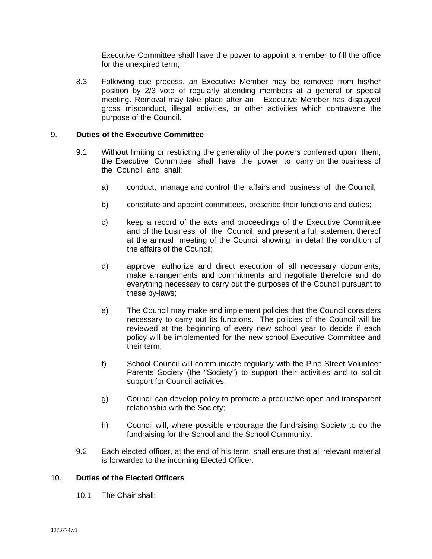Executive Committee shall have the power to appoint a member to fill the office for the unexpired term;

8.3 Following due process, an Executive Member may be removed from his/her position by 2/3 vote of regularly attending members at a general or special meeting. Removal may take place after an Executive Member has displayed gross misconduct, illegal activities, or other activities which contravene the purpose of the Council.

#### 9. **Duties of the Executive Committee**

- 9.1 Without limiting or restricting the generality of the powers conferred upon them, the Executive Committee shall have the power to carry on the business of the Council and shall:
	- a) conduct, manage and control the affairs and business of the Council;
	- b) constitute and appoint committees, prescribe their functions and duties;
	- c) keep a record of the acts and proceedings of the Executive Committee and of the business of the Council, and present a full statement thereof at the annual meeting of the Council showing in detail the condition of the affairs of the Council;
	- d) approve, authorize and direct execution of all necessary documents, make arrangements and commitments and negotiate therefore and do everything necessary to carry out the purposes of the Council pursuant to these by-laws;
	- e) The Council may make and implement policies that the Council considers necessary to carry out its functions. The policies of the Council will be reviewed at the beginning of every new school year to decide if each policy will be implemented for the new school Executive Committee and their term;
	- f) School Council will communicate regularly with the Pine Street Volunteer Parents Society (the "Society") to support their activities and to solicit support for Council activities;
	- g) Council can develop policy to promote a productive open and transparent relationship with the Society;
	- h) Council will, where possible encourage the fundraising Society to do the fundraising for the School and the School Community.
- 9.2 Each elected officer, at the end of his term, shall ensure that all relevant material is forwarded to the incoming Elected Officer.

# 10. **Duties of the Elected Officers**

10.1 The Chair shall: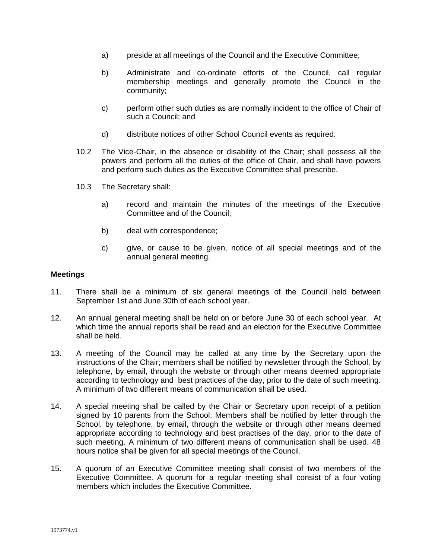- a) preside at all meetings of the Council and the Executive Committee;
- b) Administrate and co-ordinate efforts of the Council, call regular membership meetings and generally promote the Council in the community;
- c) perform other such duties as are normally incident to the office of Chair of such a Council; and
- d) distribute notices of other School Council events as required.
- 10.2 The Vice-Chair, in the absence or disability of the Chair; shall possess all the powers and perform all the duties of the office of Chair, and shall have powers and perform such duties as the Executive Committee shall prescribe.
- 10.3 The Secretary shall:
	- a) record and maintain the minutes of the meetings of the Executive Committee and of the Council;
	- b) deal with correspondence;
	- c) give, or cause to be given, notice of all special meetings and of the annual general meeting.

#### **Meetings**

- 11. There shall be a minimum of six general meetings of the Council held between September 1st and June 30th of each school year.
- 12. An annual general meeting shall be held on or before June 30 of each school year. At which time the annual reports shall be read and an election for the Executive Committee shall be held.
- 13. A meeting of the Council may be called at any time by the Secretary upon the instructions of the Chair; members shall be notified by newsletter through the School, by telephone, by email, through the website or through other means deemed appropriate according to technology and best practices of the day, prior to the date of such meeting. A minimum of two different means of communication shall be used.
- 14. A special meeting shall be called by the Chair or Secretary upon receipt of a petition signed by 10 parents from the School. Members shall be notified by letter through the School, by telephone, by email, through the website or through other means deemed appropriate according to technology and best practises of the day, prior to the date of such meeting. A minimum of two different means of communication shall be used. 48 hours notice shall be given for all special meetings of the Council.
- 15. A quorum of an Executive Committee meeting shall consist of two members of the Executive Committee. A quorum for a regular meeting shall consist of a four voting members which includes the Executive Committee.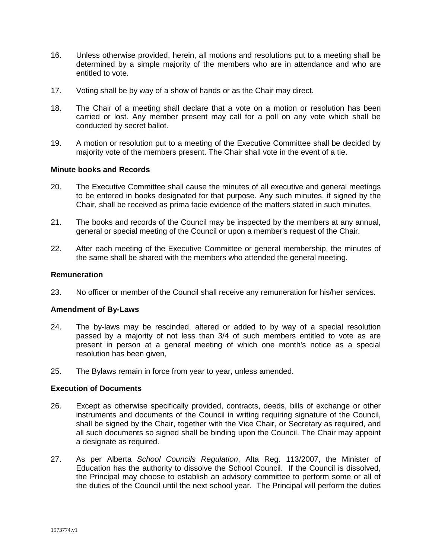- 16. Unless otherwise provided, herein, all motions and resolutions put to a meeting shall be determined by a simple majority of the members who are in attendance and who are entitled to vote.
- 17. Voting shall be by way of a show of hands or as the Chair may direct.
- 18. The Chair of a meeting shall declare that a vote on a motion or resolution has been carried or lost. Any member present may call for a poll on any vote which shall be conducted by secret ballot.
- 19. A motion or resolution put to a meeting of the Executive Committee shall be decided by majority vote of the members present. The Chair shall vote in the event of a tie.

#### **Minute books and Records**

- 20. The Executive Committee shall cause the minutes of all executive and general meetings to be entered in books designated for that purpose. Any such minutes, if signed by the Chair, shall be received as prima facie evidence of the matters stated in such minutes.
- 21. The books and records of the Council may be inspected by the members at any annual, general or special meeting of the Council or upon a member's request of the Chair.
- 22. After each meeting of the Executive Committee or general membership, the minutes of the same shall be shared with the members who attended the general meeting.

#### **Remuneration**

23. No officer or member of the Council shall receive any remuneration for his/her services.

#### **Amendment of By-Laws**

- 24. The by-laws may be rescinded, altered or added to by way of a special resolution passed by a majority of not less than 3/4 of such members entitled to vote as are present in person at a general meeting of which one month's notice as a special resolution has been given,
- 25. The Bylaws remain in force from year to year, unless amended.

# **Execution of Documents**

- 26. Except as otherwise specifically provided, contracts, deeds, bills of exchange or other instruments and documents of the Council in writing requiring signature of the Council, shall be signed by the Chair, together with the Vice Chair, or Secretary as required, and all such documents so signed shall be binding upon the Council. The Chair may appoint a designate as required.
- 27. As per Alberta *School Councils Regulation*, Alta Reg. 113/2007, the Minister of Education has the authority to dissolve the School Council. If the Council is dissolved, the Principal may choose to establish an advisory committee to perform some or all of the duties of the Council until the next school year. The Principal will perform the duties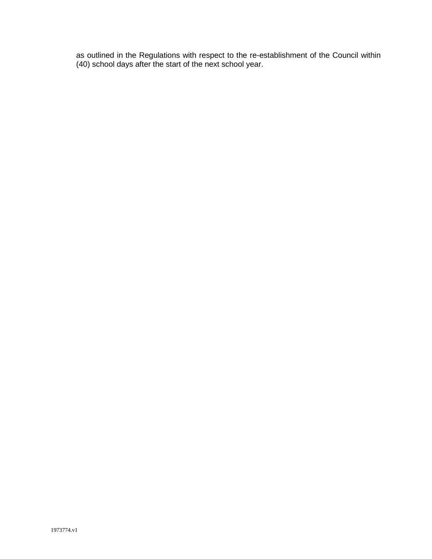as outlined in the Regulations with respect to the re-establishment of the Council within (40) school days after the start of the next school year.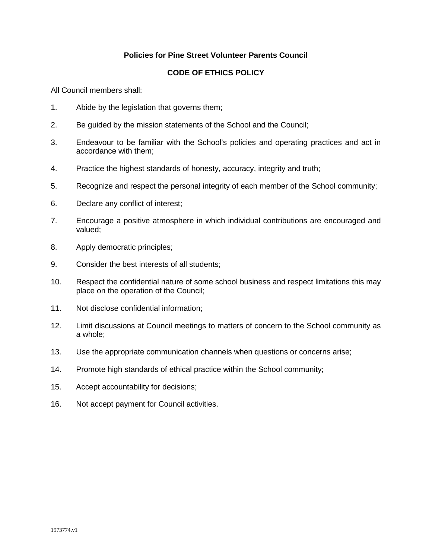# **Policies for Pine Street Volunteer Parents Council**

# **CODE OF ETHICS POLICY**

All Council members shall:

- 1. Abide by the legislation that governs them;
- 2. Be guided by the mission statements of the School and the Council;
- 3. Endeavour to be familiar with the School's policies and operating practices and act in accordance with them;
- 4. Practice the highest standards of honesty, accuracy, integrity and truth;
- 5. Recognize and respect the personal integrity of each member of the School community;
- 6. Declare any conflict of interest;
- 7. Encourage a positive atmosphere in which individual contributions are encouraged and valued;
- 8. Apply democratic principles;
- 9. Consider the best interests of all students;
- 10. Respect the confidential nature of some school business and respect limitations this may place on the operation of the Council;
- 11. Not disclose confidential information;
- 12. Limit discussions at Council meetings to matters of concern to the School community as a whole;
- 13. Use the appropriate communication channels when questions or concerns arise;
- 14. Promote high standards of ethical practice within the School community;
- 15. Accept accountability for decisions;
- 16. Not accept payment for Council activities.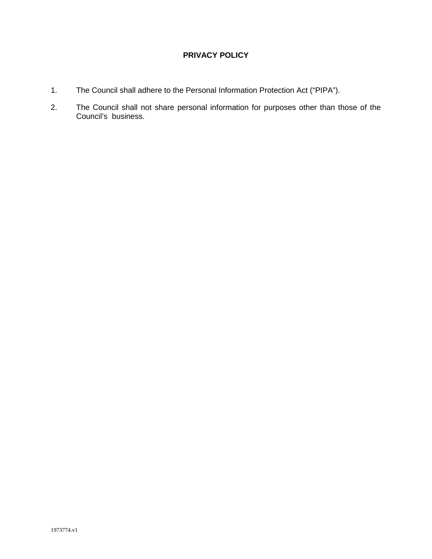# **PRIVACY POLICY**

- 1. The Council shall adhere to the Personal Information Protection Act ("PIPA").
- 2. The Council shall not share personal information for purposes other than those of the Council's business.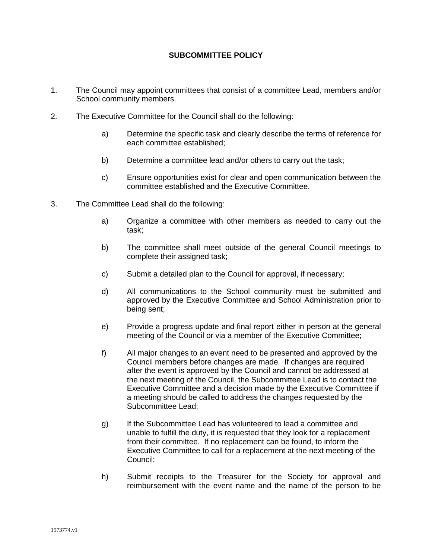# **SUBCOMMITTEE POLICY**

- 1. The Council may appoint committees that consist of a committee Lead, members and/or School community members.
- 2. The Executive Committee for the Council shall do the following:
	- a) Determine the specific task and clearly describe the terms of reference for each committee established;
	- b) Determine a committee lead and/or others to carry out the task;
	- c) Ensure opportunities exist for clear and open communication between the committee established and the Executive Committee.
- 3. The Committee Lead shall do the following:
	- a) Organize a committee with other members as needed to carry out the task;
	- b) The committee shall meet outside of the general Council meetings to complete their assigned task;
	- c) Submit a detailed plan to the Council for approval, if necessary;
	- d) All communications to the School community must be submitted and approved by the Executive Committee and School Administration prior to being sent;
	- e) Provide a progress update and final report either in person at the general meeting of the Council or via a member of the Executive Committee;
	- f) All major changes to an event need to be presented and approved by the Council members before changes are made. If changes are required after the event is approved by the Council and cannot be addressed at the next meeting of the Council, the Subcommittee Lead is to contact the Executive Committee and a decision made by the Executive Committee if a meeting should be called to address the changes requested by the Subcommittee Lead;
	- g) If the Subcommittee Lead has volunteered to lead a committee and unable to fulfill the duty, it is requested that they look for a replacement from their committee. If no replacement can be found, to inform the Executive Committee to call for a replacement at the next meeting of the Council;
	- h) Submit receipts to the Treasurer for the Society for approval and reimbursement with the event name and the name of the person to be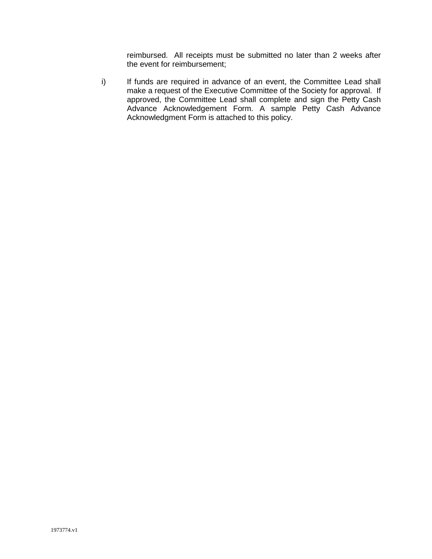reimbursed. All receipts must be submitted no later than 2 weeks after the event for reimbursement;

i) If funds are required in advance of an event, the Committee Lead shall make a request of the Executive Committee of the Society for approval. If approved, the Committee Lead shall complete and sign the Petty Cash Advance Acknowledgement Form. A sample Petty Cash Advance Acknowledgment Form is attached to this policy.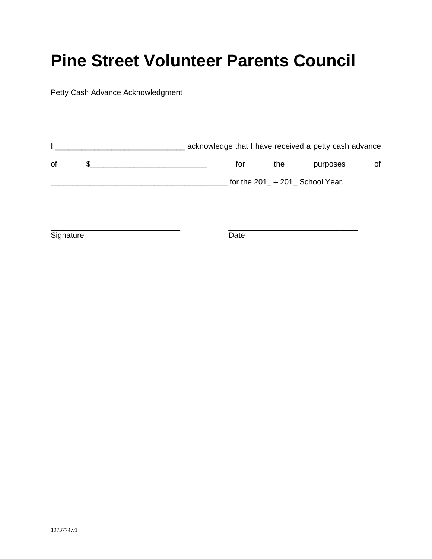# **Pine Street Volunteer Parents Council**

Petty Cash Advance Acknowledgment

|    | acknowledge that I have received a petty cash advance |                                  |          |    |
|----|-------------------------------------------------------|----------------------------------|----------|----|
| 0f | for                                                   | the                              | purposes | οf |
|    |                                                       | for the $201 - 201$ School Year. |          |    |

\_\_\_\_\_\_\_\_\_\_\_\_\_\_\_\_\_\_\_\_\_\_\_\_\_\_\_\_\_\_ \_\_\_\_\_\_\_\_\_\_\_\_\_\_\_\_\_\_\_\_\_\_\_\_\_\_\_\_\_\_ Signature Date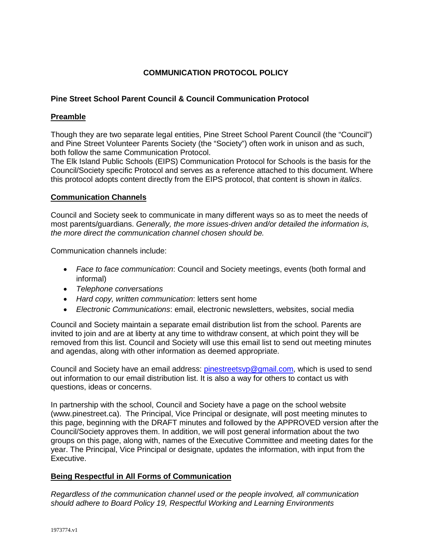# **COMMUNICATION PROTOCOL POLICY**

# **Pine Street School Parent Council & Council Communication Protocol**

# **Preamble**

Though they are two separate legal entities, Pine Street School Parent Council (the "Council") and Pine Street Volunteer Parents Society (the "Society") often work in unison and as such, both follow the same Communication Protocol.

The Elk Island Public Schools (EIPS) Communication Protocol for Schools is the basis for the Council/Society specific Protocol and serves as a reference attached to this document. Where this protocol adopts content directly from the EIPS protocol, that content is shown in *italics*.

# **Communication Channels**

Council and Society seek to communicate in many different ways so as to meet the needs of most parents/guardians. *Generally, the more issues-driven and/or detailed the information is, the more direct the communication channel chosen should be.* 

Communication channels include:

- *Face to face communication*: Council and Society meetings, events (both formal and informal)
- *Telephone conversations*
- *Hard copy, written communication*: letters sent home
- *Electronic Communications*: email, electronic newsletters, websites, social media

Council and Society maintain a separate email distribution list from the school. Parents are invited to join and are at liberty at any time to withdraw consent, at which point they will be removed from this list. Council and Society will use this email list to send out meeting minutes and agendas, along with other information as deemed appropriate.

Council and Society have an email address: [pinestreetsvp@gmail.com,](mailto:pinestreetsvp@gmail.com) which is used to send out information to our email distribution list. It is also a way for others to contact us with questions, ideas or concerns.

In partnership with the school, Council and Society have a page on the school website (www.pinestreet.ca). The Principal, Vice Principal or designate, will post meeting minutes to this page, beginning with the DRAFT minutes and followed by the APPROVED version after the Council/Society approves them. In addition, we will post general information about the two groups on this page, along with, names of the Executive Committee and meeting dates for the year. The Principal, Vice Principal or designate, updates the information, with input from the Executive.

# **Being Respectful in All Forms of Communication**

*Regardless of the communication channel used or the people involved, all communication should adhere to Board Policy 19, Respectful Working and Learning Environments*